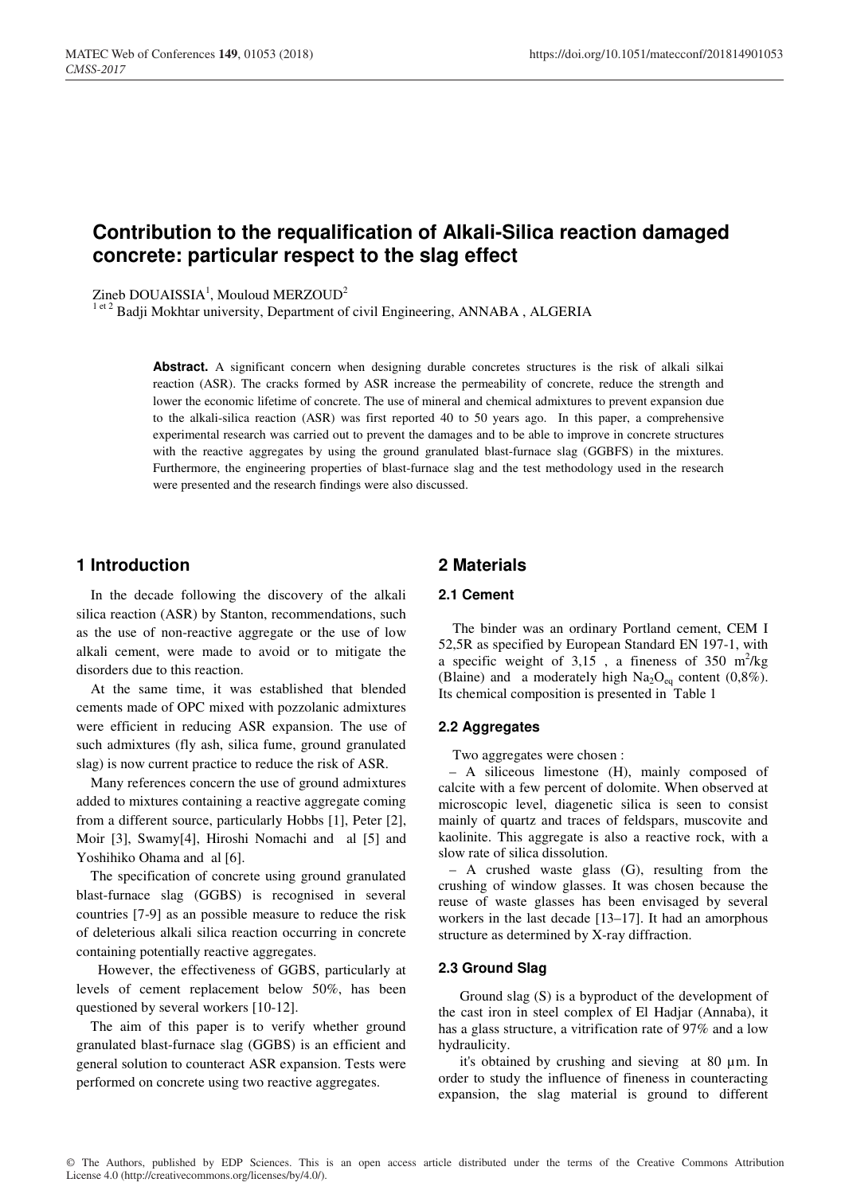# **Contribution to the requalification of Alkali-Silica reaction damaged concrete: particular respect to the slag effect**

 $Zineb$  DOUAISSIA<sup>1</sup>, Mouloud MERZOUD<sup>2</sup>

<sup>1 et 2</sup> Badji Mokhtar university, Department of civil Engineering, ANNABA, ALGERIA

Abstract. A significant concern when designing durable concretes structures is the risk of alkali silkai reaction (ASR). The cracks formed by ASR increase the permeability of concrete, reduce the strength and lower the economic lifetime of concrete. The use of mineral and chemical admixtures to prevent expansion due to the alkali-silica reaction (ASR) was first reported 40 to 50 years ago. In this paper, a comprehensive experimental research was carried out to prevent the damages and to be able to improve in concrete structures with the reactive aggregates by using the ground granulated blast-furnace slag (GGBFS) in the mixtures. Furthermore, the engineering properties of blast-furnace slag and the test methodology used in the research were presented and the research findings were also discussed.

### **1 Introduction**

 In the decade following the discovery of the alkali silica reaction (ASR) by Stanton, recommendations, such as the use of non-reactive aggregate or the use of low alkali cement, were made to avoid or to mitigate the disorders due to this reaction.

 At the same time, it was established that blended cements made of OPC mixed with pozzolanic admixtures were efficient in reducing ASR expansion. The use of such admixtures (fly ash, silica fume, ground granulated slag) is now current practice to reduce the risk of ASR.

 Many references concern the use of ground admixtures added to mixtures containing a reactive aggregate coming from a different source, particularly Hobbs [1], Peter [2], Moir [3], Swamy[4], Hiroshi Nomachi and al [5] and Yoshihiko Ohama and al [6].

 The specification of concrete using ground granulated blast-furnace slag (GGBS) is recognised in several countries [7-9] as an possible measure to reduce the risk of deleterious alkali silica reaction occurring in concrete containing potentially reactive aggregates.

 However, the effectiveness of GGBS, particularly at levels of cement replacement below 50%, has been questioned by several workers [10-12].

 The aim of this paper is to verify whether ground granulated blast-furnace slag (GGBS) is an efficient and general solution to counteract ASR expansion. Tests were performed on concrete using two reactive aggregates.

### **2 Materials**

#### **2.1 Cement**

 The binder was an ordinary Portland cement, CEM I 52,5R as specified by European Standard EN 197-1, with a specific weight of  $3,15$ , a fineness of  $350 \text{ m}^2/\text{kg}$ (Blaine) and a moderately high  $Na<sub>2</sub>O<sub>eq</sub>$  content (0,8%). Its chemical composition is presented in Table 1

#### **2.2 Aggregates**

Two aggregates were chosen :

 – A siliceous limestone (H), mainly composed of calcite with a few percent of dolomite. When observed at microscopic level, diagenetic silica is seen to consist mainly of quartz and traces of feldspars, muscovite and kaolinite. This aggregate is also a reactive rock, with a slow rate of silica dissolution.

 – A crushed waste glass (G), resulting from the crushing of window glasses. It was chosen because the reuse of waste glasses has been envisaged by several workers in the last decade [13–17]. It had an amorphous structure as determined by X-ray diffraction.

### **2.3 Ground Slag**

 Ground slag (S) is a byproduct of the development of the cast iron in steel complex of El Hadjar (Annaba), it has a glass structure, a vitrification rate of 97% and a low hydraulicity.

 it's obtained by crushing and sieving at 80 µm. In order to study the influence of fineness in counteracting expansion, the slag material is ground to different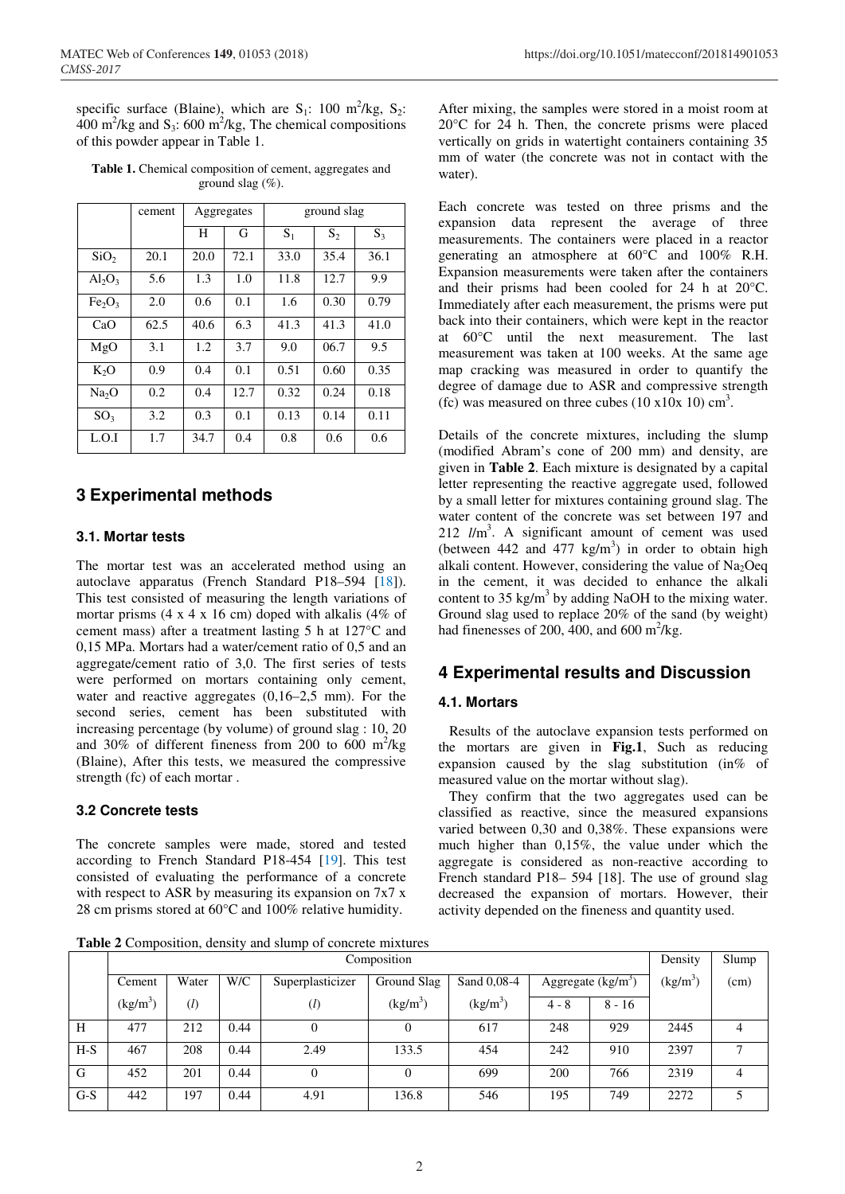specific surface (Blaine), which are  $S_1$ : 100 m<sup>2</sup>/kg,  $S_2$ :  $400 \text{ m}^2/\text{kg}$  and S<sub>3</sub>: 600 m<sup>2</sup>/kg, The chemical compositions of this powder appear in Table 1.

**Table 1.** Chemical composition of cement, aggregates and ground slag (%).

|                                | cement | Aggregates |      | ground slag |       |       |
|--------------------------------|--------|------------|------|-------------|-------|-------|
|                                |        | H          | G    | $S_1$       | $S_2$ | $S_3$ |
| SiO <sub>2</sub>               | 20.1   | 20.0       | 72.1 | 33.0        | 35.4  | 36.1  |
| $Al_2O_3$                      | 5.6    | 1.3        | 1.0  | 11.8        | 12.7  | 9.9   |
| Fe <sub>2</sub> O <sub>3</sub> | 2.0    | 0.6        | 0.1  | 1.6         | 0.30  | 0.79  |
| CaO                            | 62.5   | 40.6       | 6.3  | 41.3        | 41.3  | 41.0  |
| MgO                            | 3.1    | 1.2        | 3.7  | 9.0         | 06.7  | 9.5   |
| $K_2O$                         | 0.9    | 0.4        | 0.1  | 0.51        | 0.60  | 0.35  |
| Na <sub>2</sub> O              | 0.2    | 0.4        | 12.7 | 0.32        | 0.24  | 0.18  |
| SO <sub>3</sub>                | 3.2    | 0.3        | 0.1  | 0.13        | 0.14  | 0.11  |
| L.O.I                          | 1.7    | 34.7       | 0.4  | 0.8         | 0.6   | 0.6   |

### **3 Experimental methods**

### **3.1. Mortar tests**

The mortar test was an accelerated method using an autoclave apparatus (French Standard P18–594 [18]). This test consisted of measuring the length variations of mortar prisms  $(4 \times 4 \times 16$  cm) doped with alkalis  $(4\% \text{ of }$ cement mass) after a treatment lasting 5 h at 127°C and 0,15 MPa. Mortars had a water/cement ratio of 0,5 and an aggregate/cement ratio of 3,0. The first series of tests were performed on mortars containing only cement, water and reactive aggregates  $(0.16-2.5 \text{ mm})$ . For the second series, cement has been substituted with increasing percentage (by volume) of ground slag : 10, 20 and 30% of different fineness from 200 to 600 m<sup>2</sup>/kg (Blaine), After this tests, we measured the compressive strength (fc) of each mortar .

### **3.2 Concrete tests**

The concrete samples were made, stored and tested according to French Standard P18-454 [19]. This test consisted of evaluating the performance of a concrete with respect to ASR by measuring its expansion on 7x7 x 28 cm prisms stored at 60°C and 100% relative humidity.

After mixing, the samples were stored in a moist room at 20°C for 24 h. Then, the concrete prisms were placed vertically on grids in watertight containers containing 35 mm of water (the concrete was not in contact with the water).

Each concrete was tested on three prisms and the expansion data represent the average of three measurements. The containers were placed in a reactor generating an atmosphere at 60°C and 100% R.H. Expansion measurements were taken after the containers and their prisms had been cooled for 24 h at 20°C. Immediately after each measurement, the prisms were put back into their containers, which were kept in the reactor at 60°C until the next measurement. The last measurement was taken at 100 weeks. At the same age map cracking was measured in order to quantify the degree of damage due to ASR and compressive strength (fc) was measured on three cubes  $(10 \times 10 \times 10)$  cm<sup>3</sup>.

Details of the concrete mixtures, including the slump (modified Abram's cone of 200 mm) and density, are given in **Table 2**. Each mixture is designated by a capital letter representing the reactive aggregate used, followed by a small letter for mixtures containing ground slag. The water content of the concrete was set between 197 and 212 *l*/m3 . A significant amount of cement was used (between  $442$  and  $477$  kg/m<sup>3</sup>) in order to obtain high alkali content. However, considering the value of  $Na<sub>2</sub>Oeq$ in the cement, it was decided to enhance the alkali content to 35 kg/m<sup>3</sup> by adding NaOH to the mixing water. Ground slag used to replace 20% of the sand (by weight) had finenesses of 200, 400, and 600  $m^2/kg$ .

# **4 Experimental results and Discussion**

### **4.1. Mortars**

 Results of the autoclave expansion tests performed on the mortars are given in **Fig.1**, Such as reducing expansion caused by the slag substitution (in% of measured value on the mortar without slag).

 They confirm that the two aggregates used can be classified as reactive, since the measured expansions varied between 0,30 and 0,38%. These expansions were much higher than 0,15%, the value under which the aggregate is considered as non-reactive according to French standard P18– 594 [18]. The use of ground slag decreased the expansion of mortars. However, their activity depended on the fineness and quantity used.

**Table 2** Composition, density and slump of concrete mixtures

|       | Composition          |                   |      |                   |                |                      | Density             | Slump    |                      |               |
|-------|----------------------|-------------------|------|-------------------|----------------|----------------------|---------------------|----------|----------------------|---------------|
|       | Cement               | Water             | W/C  | Superplasticizer  | Ground Slag    | Sand 0,08-4          | Aggregate $(kg/m3)$ |          | (kg/m <sup>3</sup> ) | (cm)          |
|       | (kg/m <sup>3</sup> ) | $\left( l\right)$ |      | $\left( l\right)$ | $(kg/m^3)$     | (kg/m <sup>3</sup> ) | $4 - 8$             | $8 - 16$ |                      |               |
| H     | 477                  | 212               | 0.44 | 0                 | 0              | 617                  | 248                 | 929      | 2445                 | 4             |
| $H-S$ | 467                  | 208               | 0.44 | 2.49              | 133.5          | 454                  | 242                 | 910      | 2397                 | $\mathcal{I}$ |
| G     | 452                  | 201               | 0.44 | $\theta$          | $\overline{0}$ | 699                  | 200                 | 766      | 2319                 | 4             |
| $G-S$ | 442                  | 197               | 0.44 | 4.91              | 136.8          | 546                  | 195                 | 749      | 2272                 |               |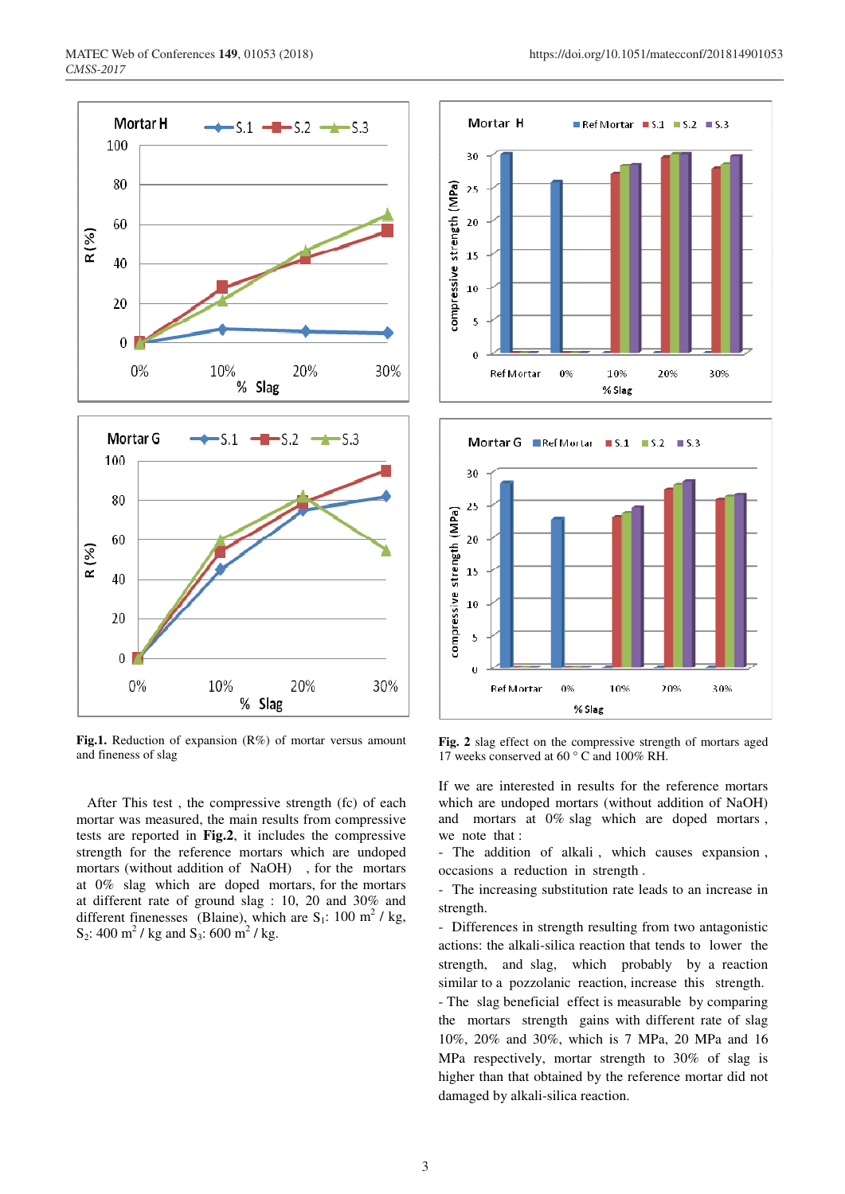

**Fig.1.** Reduction of expansion (R%) of mortar versus amount and fineness of slag

 After This test , the compressive strength (fc) of each mortar was measured, the main results from compressive tests are reported in **Fig.2**, it includes the compressive strength for the reference mortars which are undoped mortars (without addition of NaOH) , for the mortars at 0% slag which are doped mortars, for the mortars at different rate of ground slag : 10, 20 and 30% and different finenesses (Blaine), which are  $S_1$ : 100 m<sup>2</sup> / kg, S<sub>2</sub>: 400 m<sup>2</sup> / kg and S<sub>3</sub>: 600 m<sup>2</sup> / kg.





**Fig. 2** slag effect on the compressive strength of mortars aged 17 weeks conserved at 60 ° C and 100% RH.

If we are interested in results for the reference mortars which are undoped mortars (without addition of NaOH) and mortars at 0% slag which are doped mortars , we note that :

- The addition of alkali , which causes expansion , occasions a reduction in strength .

- The increasing substitution rate leads to an increase in strength.

- Differences in strength resulting from two antagonistic actions: the alkali-silica reaction that tends to lower the strength, and slag, which probably by a reaction similar to a pozzolanic reaction, increase this strength. - The slag beneficial effect is measurable by comparing the mortars strength gains with different rate of slag 10%, 20% and 30%, which is 7 MPa, 20 MPa and 16 MPa respectively, mortar strength to 30% of slag is higher than that obtained by the reference mortar did not damaged by alkali-silica reaction.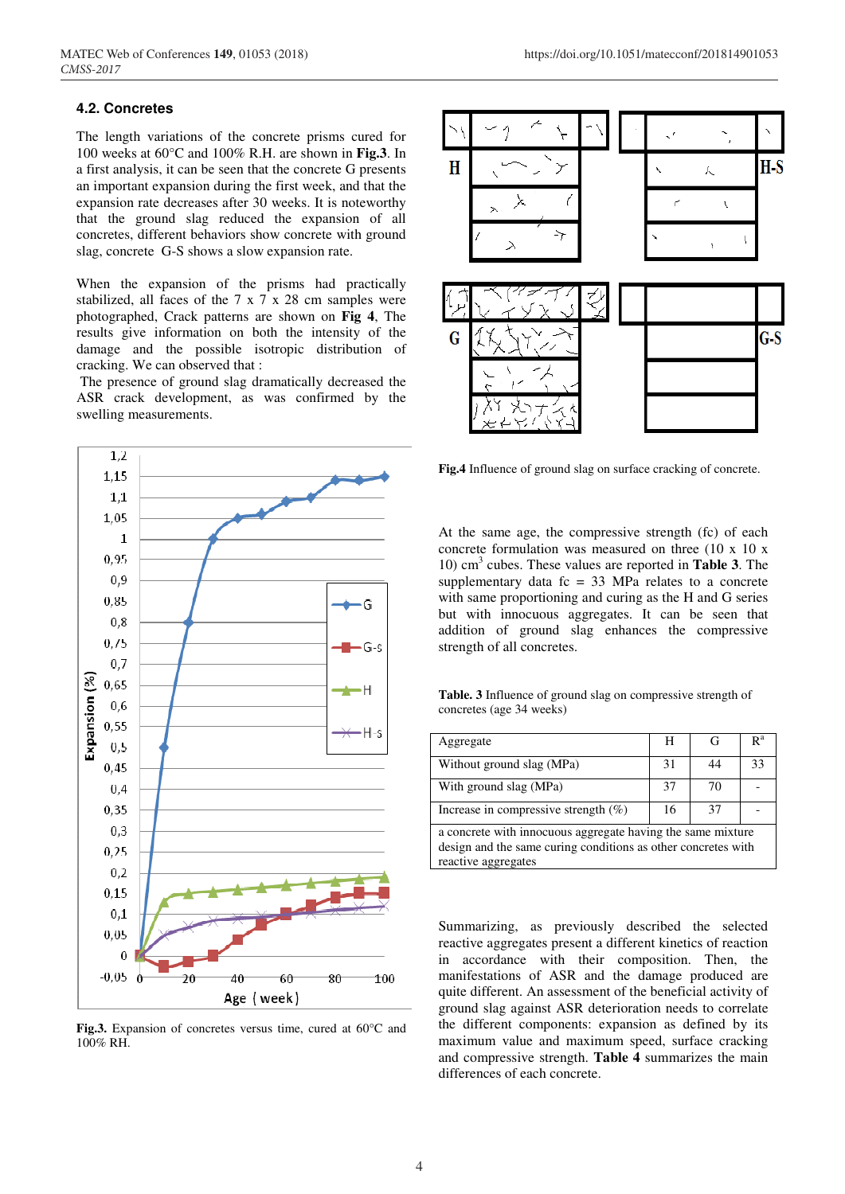#### **4.2. Concretes**

The length variations of the concrete prisms cured for 100 weeks at 60°C and 100% R.H. are shown in **Fig.3**. In a first analysis, it can be seen that the concrete G presents an important expansion during the first week, and that the expansion rate decreases after 30 weeks. It is noteworthy that the ground slag reduced the expansion of all concretes, different behaviors show concrete with ground slag, concrete G-S shows a slow expansion rate.

When the expansion of the prisms had practically stabilized, all faces of the 7 x 7 x 28 cm samples were photographed, Crack patterns are shown on **Fig 4**, The results give information on both the intensity of the damage and the possible isotropic distribution of cracking. We can observed that :

 The presence of ground slag dramatically decreased the ASR crack development, as was confirmed by the swelling measurements.



**Fig.3.** Expansion of concretes versus time, cured at 60°C and 100% RH.



**Fig.4** Influence of ground slag on surface cracking of concrete.

At the same age, the compressive strength (fc) of each concrete formulation was measured on three (10 x 10 x 10) cm3 cubes. These values are reported in **Table 3**. The supplementary data  $fc = 33$  MPa relates to a concrete with same proportioning and curing as the H and G series but with innocuous aggregates. It can be seen that addition of ground slag enhances the compressive strength of all concretes.

**Table. 3** Influence of ground slag on compressive strength of concretes (age 34 weeks)

| Aggregate                                                   |    |    | R <sup>a</sup> |  |  |
|-------------------------------------------------------------|----|----|----------------|--|--|
| Without ground slag (MPa)                                   | 31 | 44 | 33             |  |  |
| With ground slag (MPa)                                      | 37 | 70 |                |  |  |
| Increase in compressive strength $(\%)$                     | 16 | 37 |                |  |  |
| a concrete with innocuous aggregate having the same mixture |    |    |                |  |  |

design and the same curing conditions as other concretes with reactive aggregates

Summarizing, as previously described the selected reactive aggregates present a different kinetics of reaction in accordance with their composition. Then, the manifestations of ASR and the damage produced are quite different. An assessment of the beneficial activity of ground slag against ASR deterioration needs to correlate the different components: expansion as defined by its maximum value and maximum speed, surface cracking and compressive strength. **Table 4** summarizes the main differences of each concrete.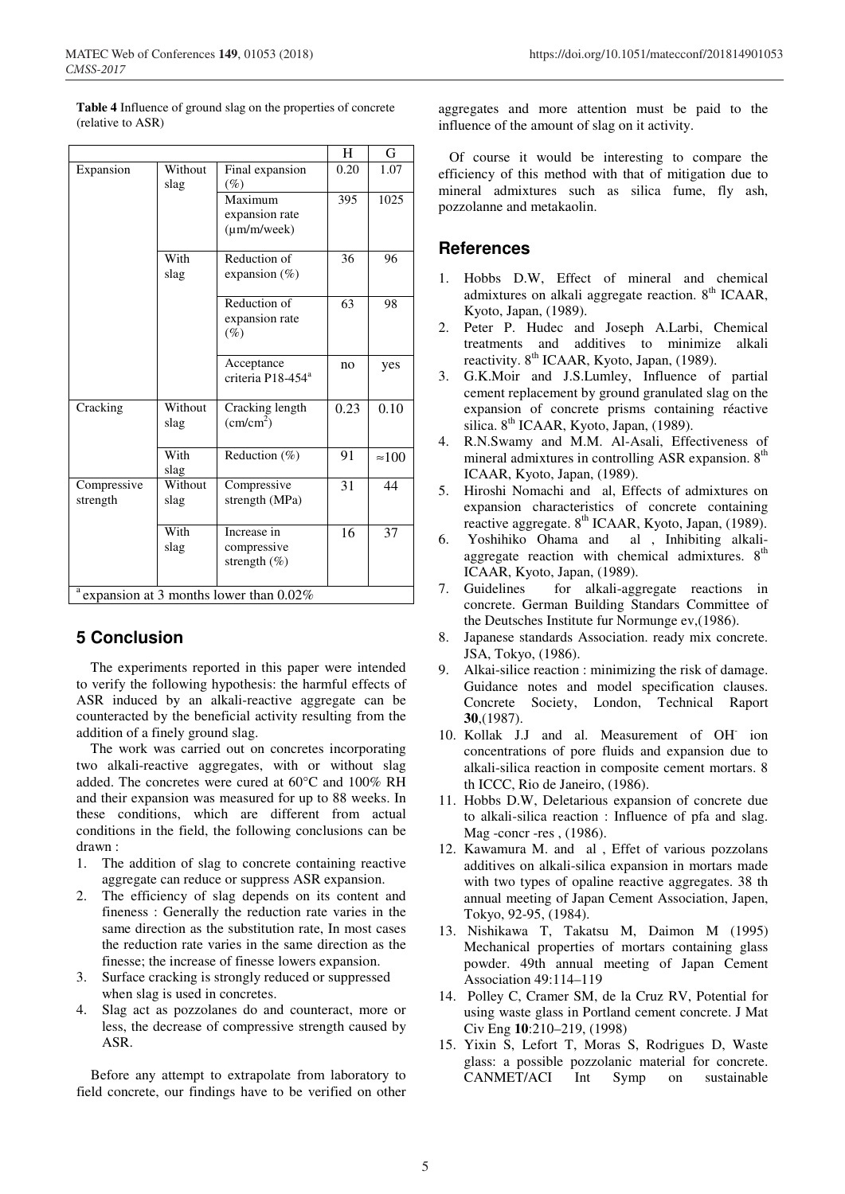|                                                      |                 |                                                   | 11   | U             |  |  |
|------------------------------------------------------|-----------------|---------------------------------------------------|------|---------------|--|--|
| Expansion                                            | Without<br>slag | Final expansion<br>(%)                            | 0.20 | 1.07          |  |  |
|                                                      |                 | Maximum<br>expansion rate<br>$(\mu m/m/$ week $)$ | 395  | 1025          |  |  |
|                                                      | With<br>slag    | Reduction of<br>expansion (%)                     | 36   | 96            |  |  |
|                                                      |                 | Reduction of<br>expansion rate<br>$(\%)$          | 63   | 98            |  |  |
|                                                      |                 | Acceptance<br>criteria P18-454 <sup>a</sup>       | no   | yes           |  |  |
| Cracking                                             | Without<br>slag | Cracking length<br>$\text{(cm/cm}^2)$             | 0.23 | 0.10          |  |  |
|                                                      | With<br>slag    | Reduction (%)                                     | 91   | $\approx 100$ |  |  |
| Compressive<br>strength                              | Without<br>slag | Compressive<br>strength (MPa)                     | 31   | 44            |  |  |
|                                                      | With<br>slag    | Increase in<br>compressive<br>strength $(\%)$     | 16   | 37            |  |  |
| $\frac{a}{a}$ expansion at 3 months lower than 0.02% |                 |                                                   |      |               |  |  |

**Table 4** Influence of ground slag on the properties of concrete (relative to ASR)

# **5 Conclusion**

 The experiments reported in this paper were intended to verify the following hypothesis: the harmful effects of ASR induced by an alkali-reactive aggregate can be counteracted by the beneficial activity resulting from the addition of a finely ground slag.

 The work was carried out on concretes incorporating two alkali-reactive aggregates, with or without slag added. The concretes were cured at 60°C and 100% RH and their expansion was measured for up to 88 weeks. In these conditions, which are different from actual conditions in the field, the following conclusions can be drawn :

- 1. The addition of slag to concrete containing reactive aggregate can reduce or suppress ASR expansion.
- 2. The efficiency of slag depends on its content and fineness : Generally the reduction rate varies in the same direction as the substitution rate, In most cases the reduction rate varies in the same direction as the finesse; the increase of finesse lowers expansion.
- 3. Surface cracking is strongly reduced or suppressed when slag is used in concretes.
- 4. Slag act as pozzolanes do and counteract, more or less, the decrease of compressive strength caused by ASR.

 Before any attempt to extrapolate from laboratory to field concrete, our findings have to be verified on other

aggregates and more attention must be paid to the influence of the amount of slag on it activity.

 Of course it would be interesting to compare the efficiency of this method with that of mitigation due to mineral admixtures such as silica fume, fly ash, pozzolanne and metakaolin.

# **References**

 $\overline{\phantom{a}}$   $\overline{\phantom{a}}$ 

- 1. Hobbs D.W, Effect of mineral and chemical admixtures on alkali aggregate reaction.  $8<sup>th</sup>$  ICAAR, Kyoto, Japan, (1989).
- 2. Peter P. Hudec and Joseph A.Larbi, Chemical treatments and additives to minimize alkali reactivity. 8<sup>th</sup> ICAAR, Kyoto, Japan, (1989).
- 3. G.K.Moir and J.S.Lumley, Influence of partial cement replacement by ground granulated slag on the expansion of concrete prisms containing réactive silica.  $8<sup>th</sup>$  ICAAR, Kyoto, Japan, (1989).
- 4. R.N.Swamy and M.M. Al-Asali, Effectiveness of mineral admixtures in controlling ASR expansion. 8<sup>th</sup> ICAAR, Kyoto, Japan, (1989).
- 5. Hiroshi Nomachi and al, Effects of admixtures on expansion characteristics of concrete containing reactive aggregate.  $8^{th}$  ICAAR, Kyoto, Japan, (1989).
- 6. Yoshihiko Ohama and al , Inhibiting alkaliaggregate reaction with chemical admixtures.  $8<sup>th</sup>$ ICAAR, Kyoto, Japan, (1989).
- 7. Guidelines for alkali-aggregate reactions in concrete. German Building Standars Committee of the Deutsches Institute fur Normunge ev,(1986).
- 8. Japanese standards Association. ready mix concrete. JSA, Tokyo, (1986).
- 9. Alkai-silice reaction : minimizing the risk of damage. Guidance notes and model specification clauses. Concrete Society, London, Technical Raport **30**,(1987).
- 10. Kollak J.J and al. Measurement of OH- ion concentrations of pore fluids and expansion due to alkali-silica reaction in composite cement mortars. 8 th ICCC, Rio de Janeiro, (1986).
- 11. Hobbs D.W, Deletarious expansion of concrete due to alkali-silica reaction : Influence of pfa and slag. Mag -concr -res , (1986).
- 12. Kawamura M. and al , Effet of various pozzolans additives on alkali-silica expansion in mortars made with two types of opaline reactive aggregates. 38 th annual meeting of Japan Cement Association, Japen, Tokyo, 92-95, (1984).
- 13. Nishikawa T, Takatsu M, Daimon M (1995) Mechanical properties of mortars containing glass powder. 49th annual meeting of Japan Cement Association 49:114–119
- 14. Polley C, Cramer SM, de la Cruz RV, Potential for using waste glass in Portland cement concrete. J Mat Civ Eng **10**:210–219, (1998)
- 15. Yixin S, Lefort T, Moras S, Rodrigues D, Waste glass: a possible pozzolanic material for concrete. CANMET/ACI Int Symp on sustainable